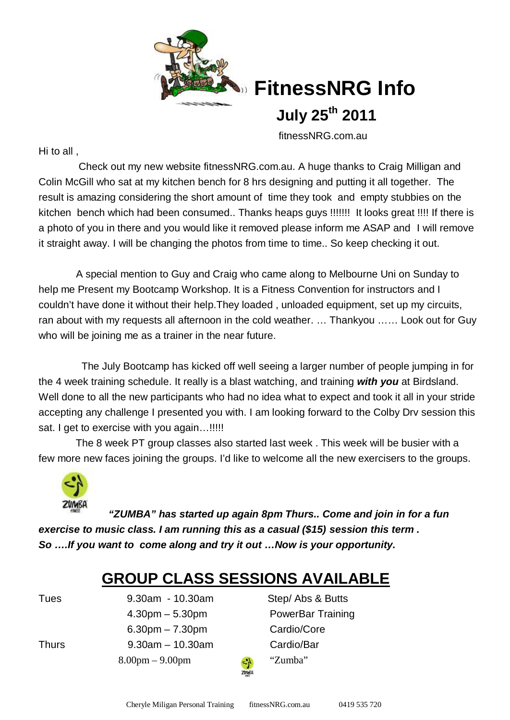

# **FitnessNRG Info**

 **July 25th 2011**

fitnessNRG.com.au

Hi to all ,

 Check out my new website fitnessNRG.com.au. A huge thanks to Craig Milligan and Colin McGill who sat at my kitchen bench for 8 hrs designing and putting it all together. The result is amazing considering the short amount of time they took and empty stubbies on the kitchen bench which had been consumed.. Thanks heaps guys !!!!!!! It looks great !!!! If there is a photo of you in there and you would like it removed please inform me ASAP and I will remove it straight away. I will be changing the photos from time to time.. So keep checking it out.

 A special mention to Guy and Craig who came along to Melbourne Uni on Sunday to help me Present my Bootcamp Workshop. It is a Fitness Convention for instructors and I couldn't have done it without their help.They loaded , unloaded equipment, set up my circuits, ran about with my requests all afternoon in the cold weather. … Thankyou …… Look out for Guy who will be joining me as a trainer in the near future.

 The July Bootcamp has kicked off well seeing a larger number of people jumping in for the 4 week training schedule. It really is a blast watching, and training *with you* at Birdsland. Well done to all the new participants who had no idea what to expect and took it all in your stride accepting any challenge I presented you with. I am looking forward to the Colby Drv session this sat. I get to exercise with you again...!!!!!

 The 8 week PT group classes also started last week . This week will be busier with a few more new faces joining the groups. I'd like to welcome all the new exercisers to the groups.



*"ZUMBA" has started up again 8pm Thurs.. Come and join in for a fun exercise to music class. I am running this as a casual (\$15) session this term . So ….If you want to come along and try it out …Now is your opportunity.*

## **GROUP CLASS SESSIONS AVAILABLE**

 4.30pm – 5.30pm PowerBar Training 6.30pm – 7.30pm Cardio/Core Thurs 9.30am – 10.30am Cardio/Bar  $8.00 \text{pm} - 9.00 \text{pm}$   $\therefore$  "Zumba"

Tues 9.30am - 10.30am Step/ Abs & Butts

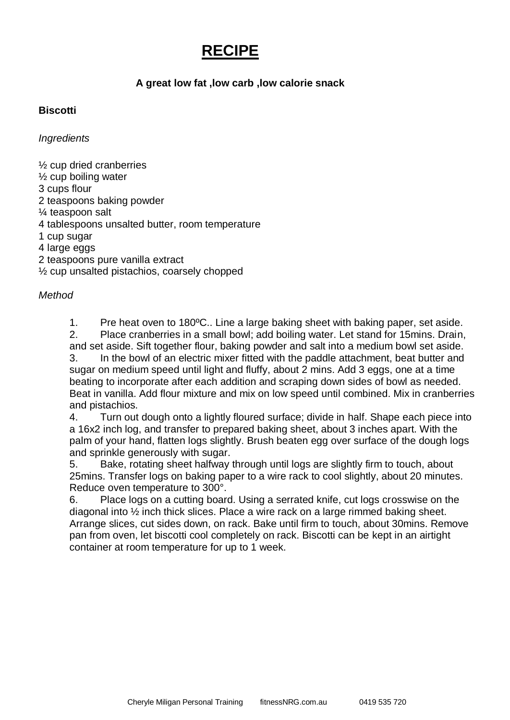### **RECIPE**

#### **A great low fat ,low carb ,low calorie snack**

#### **Biscotti**

*Ingredients*

½ cup dried cranberries  $\frac{1}{2}$  cup boiling water 3 cups flour 2 teaspoons baking powder ¼ teaspoon salt 4 tablespoons unsalted butter, room temperature 1 cup sugar 4 large eggs 2 teaspoons pure vanilla extract ½ cup unsalted pistachios, coarsely chopped

#### *Method*

1. Pre heat oven to 180ºC.. Line a large baking sheet with baking paper, set aside. 2. Place cranberries in a small bowl; add boiling water. Let stand for 15mins. Drain,

and set aside. Sift together flour, baking powder and salt into a medium bowl set aside. 3. In the bowl of an electric mixer fitted with the paddle attachment, beat butter and sugar on medium speed until light and fluffy, about 2 mins. Add 3 eggs, one at a time beating to incorporate after each addition and scraping down sides of bowl as needed. Beat in vanilla. Add flour mixture and mix on low speed until combined. Mix in cranberries and pistachios.

4. Turn out dough onto a lightly floured surface; divide in half. Shape each piece into a 16x2 inch log, and transfer to prepared baking sheet, about 3 inches apart. With the palm of your hand, flatten logs slightly. Brush beaten egg over surface of the dough logs and sprinkle generously with sugar.

5. Bake, rotating sheet halfway through until logs are slightly firm to touch, about 25mins. Transfer logs on baking paper to a wire rack to cool slightly, about 20 minutes. Reduce oven temperature to 300°.

6. Place logs on a cutting board. Using a serrated knife, cut logs crosswise on the diagonal into ½ inch thick slices. Place a wire rack on a large rimmed baking sheet. Arrange slices, cut sides down, on rack. Bake until firm to touch, about 30mins. Remove pan from oven, let biscotti cool completely on rack. Biscotti can be kept in an airtight container at room temperature for up to 1 week.